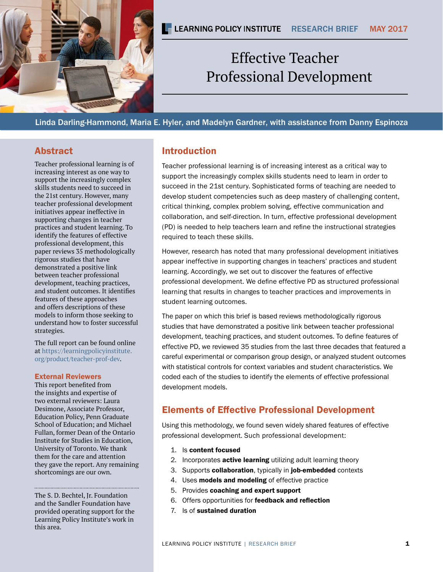

# Professional Development Effective Teacher

Linda Darling-Hammond, Maria E. Hyler, and Madelyn Gardner, with assistance from Danny Espinoza

### Abstract

Teacher professional learning is of increasing interest as one way to support the increasingly complex skills students need to succeed in the 21st century. However, many teacher professional development initiatives appear ineffective in supporting changes in teacher practices and student learning. To identify the features of effective professional development, this paper reviews 35 methodologically rigorous studies that have demonstrated a positive link between teacher professional development, teaching practices, and student outcomes. It identifies features of these approaches and offers descriptions of these models to inform those seeking to understand how to foster successful strategies.

The full report can be found online at [https://learningpolicyinstitute.](https://learningpolicyinstitute.org/product/teacher-prof-dev) [org/product/teacher-prof-dev.](https://learningpolicyinstitute.org/product/teacher-prof-dev)

#### External Reviewers

This report benefited from the insights and expertise of two external reviewers: Laura Desimone, Associate Professor, Education Policy, Penn Graduate School of Education; and Michael Fullan, former Dean of the Ontario Institute for Studies in Education, University of Toronto. We thank them for the care and attention they gave the report. Any remaining shortcomings are our own.

The S. D. Bechtel, Jr. Foundation and the Sandler Foundation have provided operating support for the Learning Policy Institute's work in this area.

## Introduction

Teacher professional learning is of increasing interest as a critical way to support the increasingly complex skills students need to learn in order to succeed in the 21st century. Sophisticated forms of teaching are needed to develop student competencies such as deep mastery of challenging content, critical thinking, complex problem solving, effective communication and collaboration, and self-direction. In turn, effective professional development (PD) is needed to help teachers learn and refine the instructional strategies required to teach these skills.

However, research has noted that many professional development initiatives appear ineffective in supporting changes in teachers' practices and student learning. Accordingly, we set out to discover the features of effective professional development. We define effective PD as structured professional learning that results in changes to teacher practices and improvements in student learning outcomes.

The paper on which this brief is based reviews methodologically rigorous studies that have demonstrated a positive link between teacher professional development, teaching practices, and student outcomes. To define features of effective PD, we reviewed 35 studies from the last three decades that featured a careful experimental or comparison group design, or analyzed student outcomes with statistical controls for context variables and student characteristics. We coded each of the studies to identify the elements of effective professional development models.

# Elements of Effective Professional Development

Using this methodology, we found seven widely shared features of effective professional development. Such professional development:

- 1. Is content focused
- 2. Incorporates active learning utilizing adult learning theory
- 3. Supports collaboration, typically in job-embedded contexts
- 4. Uses **models and modeling** of effective practice
- 5. Provides coaching and expert support
- 6. Offers opportunities for feedback and reflection
- 7. Is of sustained duration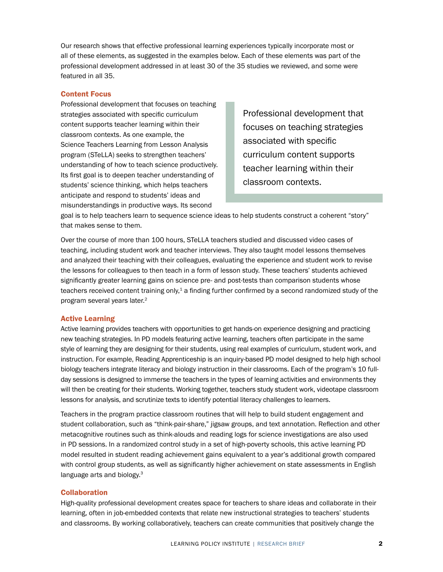Our research shows that effective professional learning experiences typically incorporate most or all of these elements, as suggested in the examples below. Each of these elements was part of the professional development addressed in at least 30 of the 35 studies we reviewed, and some were featured in all 35.

#### Content Focus

Professional development that focuses on teaching strategies associated with specific curriculum content supports teacher learning within their classroom contexts. As one example, the Science Teachers Learning from Lesson Analysis program (STeLLA) seeks to strengthen teachers' understanding of how to teach science productively. Its first goal is to deepen teacher understanding of students' science thinking, which helps teachers anticipate and respond to students' ideas and misunderstandings in productive ways. Its second

Professional development that focuses on teaching strategies associated with specific curriculum content supports teacher learning within their classroom contexts.

goal is to help teachers learn to sequence science ideas to help students construct a coherent "story" that makes sense to them.

Over the course of more than 100 hours, STeLLA teachers studied and discussed video cases of teaching, including student work and teacher interviews. They also taught model lessons themselves and analyzed their teaching with their colleagues, evaluating the experience and student work to revise the lessons for colleagues to then teach in a form of lesson study. These teachers' students achieved significantly greater learning gains on science pre- and post-tests than comparison students whose teachers received content training only, $1$  a finding further confirmed by a second randomized study of the program several years later.2

#### Active Learning

Active learning provides teachers with opportunities to get hands-on experience designing and practicing new teaching strategies. In PD models featuring active learning, teachers often participate in the same style of learning they are designing for their students, using real examples of curriculum, student work, and instruction. For example, Reading Apprenticeship is an inquiry-based PD model designed to help high school biology teachers integrate literacy and biology instruction in their classrooms. Each of the program's 10 fullday sessions is designed to immerse the teachers in the types of learning activities and environments they will then be creating for their students. Working together, teachers study student work, videotape classroom lessons for analysis, and scrutinize texts to identify potential literacy challenges to learners.

Teachers in the program practice classroom routines that will help to build student engagement and student collaboration, such as "think-pair-share," jigsaw groups, and text annotation. Reflection and other metacognitive routines such as think-alouds and reading logs for science investigations are also used in PD sessions. In a randomized control study in a set of high-poverty schools, this active learning PD model resulted in student reading achievement gains equivalent to a year's additional growth compared with control group students, as well as significantly higher achievement on state assessments in English language arts and biology.<sup>3</sup>

#### **Collaboration**

High-quality professional development creates space for teachers to share ideas and collaborate in their learning, often in job-embedded contexts that relate new instructional strategies to teachers' students and classrooms. By working collaboratively, teachers can create communities that positively change the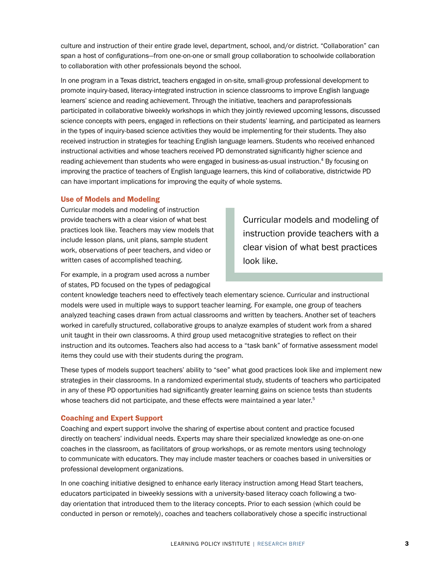culture and instruction of their entire grade level, department, school, and/or district. "Collaboration" can span a host of configurations—from one-on-one or small group collaboration to schoolwide collaboration to collaboration with other professionals beyond the school.

In one program in a Texas district, teachers engaged in on-site, small-group professional development to promote inquiry-based, literacy-integrated instruction in science classrooms to improve English language learners' science and reading achievement. Through the initiative, teachers and paraprofessionals participated in collaborative biweekly workshops in which they jointly reviewed upcoming lessons, discussed science concepts with peers, engaged in reflections on their students' learning, and participated as learners in the types of inquiry-based science activities they would be implementing for their students. They also received instruction in strategies for teaching English language learners. Students who received enhanced instructional activities and whose teachers received PD demonstrated significantly higher science and reading achievement than students who were engaged in business-as-usual instruction.4 By focusing on improving the practice of teachers of English language learners, this kind of collaborative, districtwide PD can have important implications for improving the equity of whole systems.

#### Use of Models and Modeling

Curricular models and modeling of instruction provide teachers with a clear vision of what best practices look like. Teachers may view models that include lesson plans, unit plans, sample student work, observations of peer teachers, and video or written cases of accomplished teaching.

For example, in a program used across a number of states, PD focused on the types of pedagogical Curricular models and modeling of instruction provide teachers with a clear vision of what best practices look like.

content knowledge teachers need to effectively teach elementary science. Curricular and instructional models were used in multiple ways to support teacher learning. For example, one group of teachers analyzed teaching cases drawn from actual classrooms and written by teachers. Another set of teachers worked in carefully structured, collaborative groups to analyze examples of student work from a shared unit taught in their own classrooms. A third group used metacognitive strategies to reflect on their instruction and its outcomes. Teachers also had access to a "task bank" of formative assessment model items they could use with their students during the program.

These types of models support teachers' ability to "see" what good practices look like and implement new strategies in their classrooms. In a randomized experimental study, students of teachers who participated in any of these PD opportunities had significantly greater learning gains on science tests than students whose teachers did not participate, and these effects were maintained a year later.<sup>5</sup>

#### Coaching and Expert Support

Coaching and expert support involve the sharing of expertise about content and practice focused directly on teachers' individual needs. Experts may share their specialized knowledge as one-on-one coaches in the classroom, as facilitators of group workshops, or as remote mentors using technology to communicate with educators. They may include master teachers or coaches based in universities or professional development organizations.

In one coaching initiative designed to enhance early literacy instruction among Head Start teachers, educators participated in biweekly sessions with a university-based literacy coach following a twoday orientation that introduced them to the literacy concepts. Prior to each session (which could be conducted in person or remotely), coaches and teachers collaboratively chose a specific instructional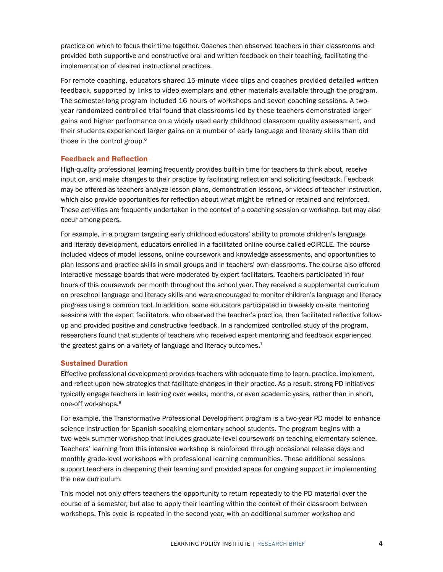practice on which to focus their time together. Coaches then observed teachers in their classrooms and provided both supportive and constructive oral and written feedback on their teaching, facilitating the implementation of desired instructional practices.

For remote coaching, educators shared 15-minute video clips and coaches provided detailed written feedback, supported by links to video exemplars and other materials available through the program. The semester-long program included 16 hours of workshops and seven coaching sessions. A twoyear randomized controlled trial found that classrooms led by these teachers demonstrated larger gains and higher performance on a widely used early childhood classroom quality assessment, and their students experienced larger gains on a number of early language and literacy skills than did those in the control group.6

#### Feedback and Reflection

High-quality professional learning frequently provides built-in time for teachers to think about, receive input on, and make changes to their practice by facilitating reflection and soliciting feedback. Feedback may be offered as teachers analyze lesson plans, demonstration lessons, or videos of teacher instruction, which also provide opportunities for reflection about what might be refined or retained and reinforced. These activities are frequently undertaken in the context of a coaching session or workshop, but may also occur among peers.

For example, in a program targeting early childhood educators' ability to promote children's language and literacy development, educators enrolled in a facilitated online course called eCIRCLE. The course included videos of model lessons, online coursework and knowledge assessments, and opportunities to plan lessons and practice skills in small groups and in teachers' own classrooms. The course also offered interactive message boards that were moderated by expert facilitators. Teachers participated in four hours of this coursework per month throughout the school year. They received a supplemental curriculum on preschool language and literacy skills and were encouraged to monitor children's language and literacy progress using a common tool. In addition, some educators participated in biweekly on-site mentoring sessions with the expert facilitators, who observed the teacher's practice, then facilitated reflective followup and provided positive and constructive feedback. In a randomized controlled study of the program, researchers found that students of teachers who received expert mentoring and feedback experienced the greatest gains on a variety of language and literacy outcomes.<sup>7</sup>

#### Sustained Duration

Effective professional development provides teachers with adequate time to learn, practice, implement, and reflect upon new strategies that facilitate changes in their practice. As a result, strong PD initiatives typically engage teachers in learning over weeks, months, or even academic years, rather than in short, one-off workshops.8

For example, the Transformative Professional Development program is a two-year PD model to enhance science instruction for Spanish-speaking elementary school students. The program begins with a two-week summer workshop that includes graduate-level coursework on teaching elementary science. Teachers' learning from this intensive workshop is reinforced through occasional release days and monthly grade-level workshops with professional learning communities. These additional sessions support teachers in deepening their learning and provided space for ongoing support in implementing the new curriculum.

This model not only offers teachers the opportunity to return repeatedly to the PD material over the course of a semester, but also to apply their learning within the context of their classroom between workshops. This cycle is repeated in the second year, with an additional summer workshop and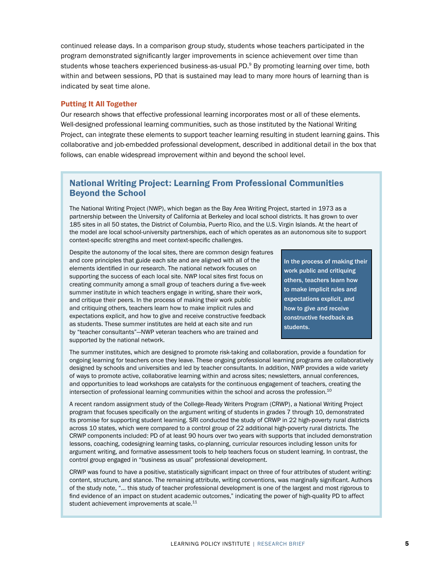continued release days. In a comparison group study, students whose teachers participated in the program demonstrated significantly larger improvements in science achievement over time than students whose teachers experienced business-as-usual PD.9 By promoting learning over time, both within and between sessions, PD that is sustained may lead to many more hours of learning than is indicated by seat time alone.

#### Putting It All Together

Our research shows that effective professional learning incorporates most or all of these elements. Well-designed professional learning communities, such as those instituted by the National Writing Project, can integrate these elements to support teacher learning resulting in student learning gains. This collaborative and job-embedded professional development, described in additional detail in the box that follows, can enable widespread improvement within and beyond the school level.

### National Writing Project: Learning From Professional Communities Beyond the School

The National Writing Project (NWP), which began as the Bay Area Writing Project, started in 1973 as a partnership between the University of California at Berkeley and local school districts. It has grown to over 185 sites in all 50 states, the District of Columbia, Puerto Rico, and the U.S. Virgin Islands. At the heart of the model are local school-university partnerships, each of which operates as an autonomous site to support context-specific strengths and meet context-specific challenges.

Despite the autonomy of the local sites, there are common design features and core principles that guide each site and are aligned with all of the elements identified in our research. The national network focuses on supporting the success of each local site. NWP local sites first focus on creating community among a small group of teachers during a five-week summer institute in which teachers engage in writing, share their work, and critique their peers. In the process of making their work public and critiquing others, teachers learn how to make implicit rules and expectations explicit, and how to give and receive constructive feedback as students. These summer institutes are held at each site and run by "teacher consultants"—NWP veteran teachers who are trained and supported by the national network.

In the process of making their work public and critiquing others, teachers learn how to make implicit rules and expectations explicit, and how to give and receive constructive feedback as students.

The summer institutes, which are designed to promote risk-taking and collaboration, provide a foundation for ongoing learning for teachers once they leave. These ongoing professional learning programs are collaboratively designed by schools and universities and led by teacher consultants. In addition, NWP provides a wide variety of ways to promote active, collaborative learning within and across sites; newsletters, annual conferences, and opportunities to lead workshops are catalysts for the continuous engagement of teachers, creating the intersection of professional learning communities within the school and across the profession.<sup>10</sup>

A recent random assignment study of the College-Ready Writers Program (CRWP), a National Writing Project program that focuses specifically on the argument writing of students in grades 7 through 10, demonstrated its promise for supporting student learning. SRI conducted the study of CRWP in 22 high-poverty rural districts across 10 states, which were compared to a control group of 22 additional high-poverty rural districts. The CRWP components included: PD of at least 90 hours over two years with supports that included demonstration lessons, coaching, codesigning learning tasks, co-planning, curricular resources including lesson units for argument writing, and formative assessment tools to help teachers focus on student learning. In contrast, the control group engaged in "business as usual" professional development.

CRWP was found to have a positive, statistically significant impact on three of four attributes of student writing: content, structure, and stance. The remaining attribute, writing conventions, was marginally significant. Authors of the study note, "… this study of teacher professional development is one of the largest and most rigorous to find evidence of an impact on student academic outcomes," indicating the power of high-quality PD to affect student achievement improvements at scale.<sup>11</sup>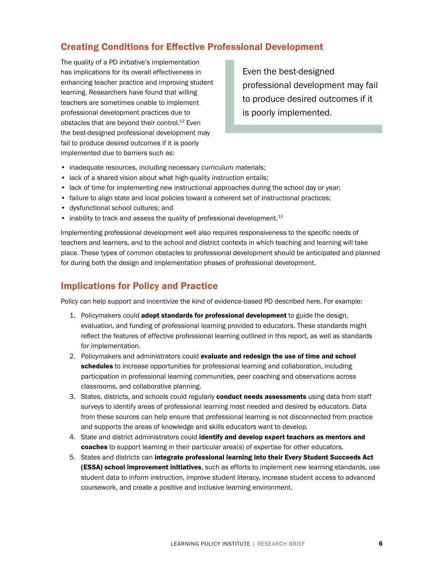# Creating Conditions for Effective Professional Development

The quality of a PD initiative's implementation has implications for its overall effectiveness in enhancing teacher practice and improving student learning. Researchers have found that willing teachers are sometimes unable to implement professional development practices due to obstacles that are beyond their control.<sup>12</sup> Even the best-designed professional development may fail to produce desired outcomes if it is poorly implemented due to barriers such as:

Even the best-designed professional development may fail to produce desired outcomes if it is poorly implemented.

- inadequate resources, including necessary curriculum materials;
- lack of a shared vision about what high-quality instruction entails;
- lack of time for implementing new instructional approaches during the school day or year;
- failure to align state and local policies toward a coherent set of instructional practices;
- dysfunctional school cultures; and
- inability to track and assess the quality of professional development.<sup>13</sup>

Implementing professional development well also requires responsiveness to the specific needs of teachers and learners, and to the school and district contexts in which teaching and learning will take place. These types of common obstacles to professional development should be anticipated and planned for during both the design and implementation phases of professional development.

# Implications for Policy and Practice

Policy can help support and incentivize the kind of evidence-based PD described here. For example:

- 1. Policymakers could **adopt standards for professional development** to guide the design, evaluation, and funding of professional learning provided to educators. These standards might reflect the features of effective professional learning outlined in this report, as well as standards for implementation.
- 2. Policymakers and administrators could evaluate and redesign the use of time and school schedules to increase opportunities for professional learning and collaboration, including participation in professional learning communities, peer coaching and observations across classrooms, and collaborative planning.
- 3. States, districts, and schools could regularly **conduct needs assessments** using data from staff surveys to identify areas of professional learning most needed and desired by educators. Data from these sources can help ensure that professional learning is not disconnected from practice and supports the areas of knowledge and skills educators want to develop.
- 4. State and district administrators could identify and develop expert teachers as mentors and coaches to support learning in their particular area(s) of expertise for other educators.
- 5. States and districts can integrate professional learning into their Every Student Succeeds Act (ESSA) school improvement initiatives, such as efforts to implement new learning standards, use student data to inform instruction, improve student literacy, increase student access to advanced coursework, and create a positive and inclusive learning environment.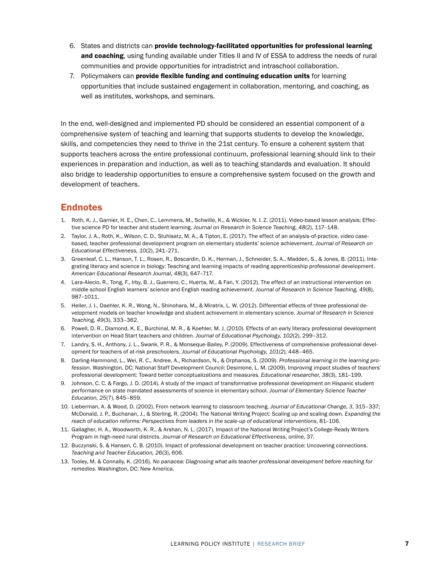- 6. States and districts can provide technology-facilitated opportunities for professional learning and coaching, using funding available under Titles II and IV of ESSA to address the needs of rural communities and provide opportunities for intradistrict and intraschool collaboration.
- 7. Policymakers can provide flexible funding and continuing education units for learning opportunities that include sustained engagement in collaboration, mentoring, and coaching, as well as institutes, workshops, and seminars.

In the end, well-designed and implemented PD should be considered an essential component of a comprehensive system of teaching and learning that supports students to develop the knowledge, skills, and competencies they need to thrive in the 21st century. To ensure a coherent system that supports teachers across the entire professional continuum, professional learning should link to their experiences in preparation and induction, as well as to teaching standards and evaluation. It should also bridge to leadership opportunities to ensure a comprehensive system focused on the growth and development of teachers.

## **Endnotes**

- 1. Roth, K. J., Garnier, H. E., Chen, C., Lemmens, M., Schwille, K., & Wickler, N. I. Z. (2011). Video-based lesson analysis: Effective science PD for teacher and student learning. *Journal on Research in Science Teaching, 48*(2), 117–148.
- 2. Taylor, J. A., Roth, K., Wilson, C. D., Stuhlsatz, M. A., & Tipton, E. (2017). The effect of an analysis-of-practice, video casebased, teacher professional development program on elementary students' science achievement. *Journal of Research on Educational Effectiveness, 10*(2), 241–271.
- 3. Greenleaf, C. L., Hanson, T. L., Rosen, R., Boscardin, D. K., Herman, J., Schneider, S. A., Madden, S., & Jones, B. (2011). Integrating literacy and science in biology: Teaching and learning impacts of reading apprenticeship professional development. *American Educational Research Journal, 48*(3), 647–717.
- 4. Lara-Alecio, R., Tong, F., Irby, B. J., Guerrero, C., Huerta, M., & Fan, Y. (2012). The effect of an instructional intervention on middle school English learners' science and English reading achievement. *Journal of Research in Science Teaching, 49*(8), 987–1011.
- 5. Heller, J. I., Daehler, K. R., Wong, N., Shinohara, M., & Miratrix, L. W. (2012). Differential effects of three professional development models on teacher knowledge and student achievement in elementary science. *Journal of Research in Science Teaching, 49*(3), 333–362.
- 6. Powell, D. R., Diamond, K. E., Burchinal, M. R., & Koehler, M. J. (2010). Effects of an early literacy professional development intervention on Head Start teachers and children. *Journal of Educational Psychology, 102*(2), 299–312.
- 7. Landry, S. H., Anthony, J. L., Swank, P. R., & Monseque-Bailey, P. (2009). Effectiveness of comprehensive professional development for teachers of at-risk preschoolers. *Journal of Educational Psychology, 101*(2), 448–465.
- 8. Darling-Hammond, L., Wei, R. C., Andree, A., Richardson, N., & Orphanos, S. (2009). *Professional learning in the learning profession.* Washington, DC: National Staff Development Council; Desimone, L. M. (2009). Improving impact studies of teachers' professional development: Toward better conceptualizations and measures. *Educational researcher, 38*(3), 181–199.
- 9. Johnson, C. C. & Fargo, J. D. (2014). A study of the impact of transformative professional development on Hispanic student performance on state mandated assessments of science in elementary school. *Journal of Elementary Science Teacher Education, 25*(7), 845–859.
- 10. Lieberman, A. & Wood, D. (2002). From network learning to classroom teaching. *Journal of Educational Change, 3*, 315–337; McDonald, J. P., Buchanan, J., & Sterling, R. (2004). The National Writing Project: Scaling up and scaling down. *Expanding the reach of education reforms: Perspectives from leaders in the scale-up of educational interventions*, 81–106.
- 11. Gallagher, H. A., Woodworth, K. R., & Arshan, N. L. (2017). Impact of the National Writing Project's College-Ready Writers Program in high-need rural districts. *Journal of Research on Educational Effectiveness, online*, 37.
- 12. Buczynski, S. & Hansen, C. B. (2010). Impact of professional development on teacher practice: Uncovering connections. *Teaching and Teacher Education, 26*(3), 606.
- 13. Tooley, M. & Connally, K. (2016). *No panacea: Diagnosing what ails teacher professional development before reaching for remedies*. Washington, DC: New America.